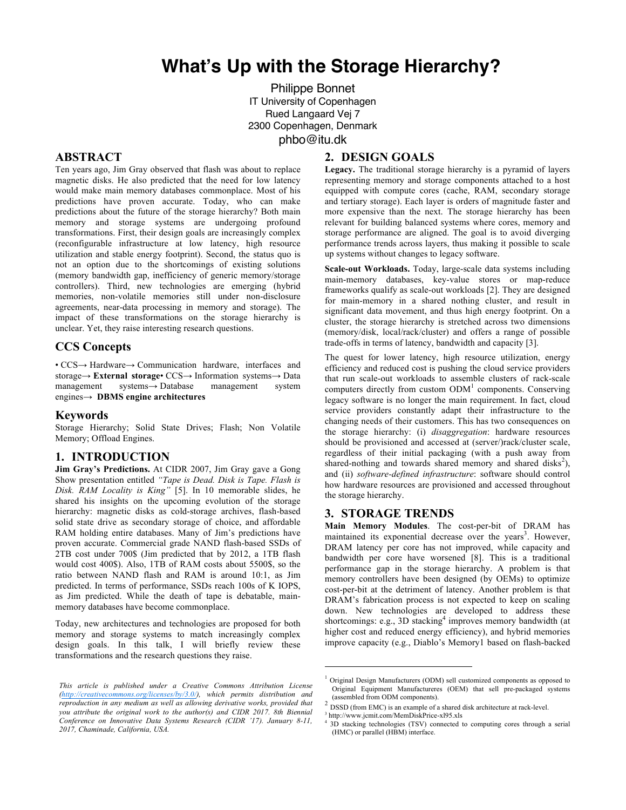# **What's Up with the Storage Hierarchy?**

**2. DESIGN GOALS**

Philippe Bonnet IT University of Copenhagen Rued Langaard Vej 7 2300 Copenhagen, Denmark phbo@itu.dk

## **ABSTRACT**

Ten years ago, Jim Gray observed that flash was about to replace magnetic disks. He also predicted that the need for low latency would make main memory databases commonplace. Most of his predictions have proven accurate. Today, who can make predictions about the future of the storage hierarchy? Both main memory and storage systems are undergoing profound transformations. First, their design goals are increasingly complex (reconfigurable infrastructure at low latency, high resource utilization and stable energy footprint). Second, the status quo is not an option due to the shortcomings of existing solutions (memory bandwidth gap, inefficiency of generic memory/storage controllers). Third, new technologies are emerging (hybrid memories, non-volatile memories still under non-disclosure agreements, near-data processing in memory and storage). The impact of these transformations on the storage hierarchy is unclear. Yet, they raise interesting research questions.

### **CCS Concepts**

• CCS→ Hardware→ Communication hardware, interfaces and storage**→ External storage**• CCS→ Information systems→ Data management systems→ Database management system engines→ **DBMS engine architectures**

#### **Keywords**

Storage Hierarchy; Solid State Drives; Flash; Non Volatile Memory; Offload Engines.

#### **1. INTRODUCTION**

**Jim Gray's Predictions.** At CIDR 2007, Jim Gray gave a Gong Show presentation entitled *"Tape is Dead. Disk is Tape. Flash is Disk. RAM Locality is King"* [5]. In 10 memorable slides, he shared his insights on the upcoming evolution of the storage hierarchy: magnetic disks as cold-storage archives, flash-based solid state drive as secondary storage of choice, and affordable RAM holding entire databases. Many of Jim's predictions have proven accurate. Commercial grade NAND flash-based SSDs of 2TB cost under 700\$ (Jim predicted that by 2012, a 1TB flash would cost 400\$). Also, 1TB of RAM costs about 5500\$, so the ratio between NAND flash and RAM is around 10:1, as Jim predicted. In terms of performance, SSDs reach 100s of K IOPS, as Jim predicted. While the death of tape is debatable, mainmemory databases have become commonplace.

Today, new architectures and technologies are proposed for both memory and storage systems to match increasingly complex design goals. In this talk, I will briefly review these transformations and the research questions they raise.

#### **Legacy.** The traditional storage hierarchy is a pyramid of layers representing memory and storage components attached to a host equipped with compute cores (cache, RAM, secondary storage and tertiary storage). Each layer is orders of magnitude faster and more expensive than the next. The storage hierarchy has been relevant for building balanced systems where cores, memory and storage performance are aligned. The goal is to avoid diverging performance trends across layers, thus making it possible to scale up systems without changes to legacy software.

**Scale-out Workloads.** Today, large-scale data systems including main-memory databases, key-value stores or map-reduce frameworks qualify as scale-out workloads [2]. They are designed for main-memory in a shared nothing cluster, and result in significant data movement, and thus high energy footprint. On a cluster, the storage hierarchy is stretched across two dimensions (memory/disk, local/rack/cluster) and offers a range of possible trade-offs in terms of latency, bandwidth and capacity [3].

The quest for lower latency, high resource utilization, energy efficiency and reduced cost is pushing the cloud service providers that run scale-out workloads to assemble clusters of rack-scale computers directly from custom  $ODM<sup>1</sup>$  components. Conserving legacy software is no longer the main requirement. In fact, cloud service providers constantly adapt their infrastructure to the changing needs of their customers. This has two consequences on the storage hierarchy: (i) *disaggregation*: hardware resources should be provisioned and accessed at (server/)rack/cluster scale, regardless of their initial packaging (with a push away from shared-nothing and towards shared memory and shared disks<sup>2</sup>), and (ii) *software-defined infrastructure*: software should control how hardware resources are provisioned and accessed throughout the storage hierarchy.

## **3. STORAGE TRENDS**

**Main Memory Modules**. The cost-per-bit of DRAM has maintained its exponential decrease over the years<sup>3</sup>. However, DRAM latency per core has not improved, while capacity and bandwidth per core have worsened [8]. This is a traditional performance gap in the storage hierarchy. A problem is that memory controllers have been designed (by OEMs) to optimize cost-per-bit at the detriment of latency. Another problem is that DRAM's fabrication process is not expected to keep on scaling down. New technologies are developed to address these shortcomings: e.g., 3D stacking<sup>4</sup> improves memory bandwidth (at higher cost and reduced energy efficiency), and hybrid memories improve capacity (e.g., Diablo's Memory1 based on flash-backed

 $\overline{a}$ 

*This article is published under a Creative Commons Attribution License (http://creativecommons.org/licenses/by/3.0/), which permits distribution and reproduction in any medium as well as allowing derivative works, provided that you attribute the original work to the author(s) and CIDR 2017. 8th Biennial Conference on Innovative Data Systems Research (CIDR '17). January 8-11, 2017, Chaminade, California, USA.*

<sup>&</sup>lt;sup>1</sup> Original Design Manufacturers (ODM) sell customized components as opposed to Original Equipment Manufactureres (OEM) that sell pre-packaged systems

<sup>&</sup>lt;sup>2</sup> DSSD (from EMC) is an example of a shared disk architecture at rack-level.

<sup>3</sup> http://www.jcmit.com/MemDiskPrice-xl95.xls

<sup>&</sup>lt;sup>4</sup> 3D stacking technologies (TSV) connected to computing cores through a serial (HMC) or parallel (HBM) interface.